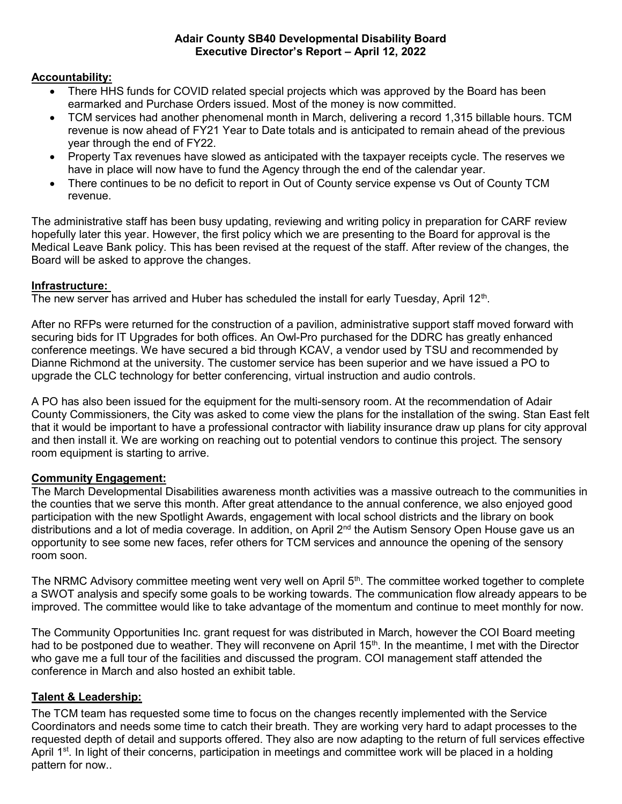#### Adair County SB40 Developmental Disability Board Executive Director's Report – April 12, 2022

# Accountability:

- There HHS funds for COVID related special projects which was approved by the Board has been earmarked and Purchase Orders issued. Most of the money is now committed.
- TCM services had another phenomenal month in March, delivering a record 1,315 billable hours. TCM revenue is now ahead of FY21 Year to Date totals and is anticipated to remain ahead of the previous year through the end of FY22.
- Property Tax revenues have slowed as anticipated with the taxpayer receipts cycle. The reserves we have in place will now have to fund the Agency through the end of the calendar year.
- There continues to be no deficit to report in Out of County service expense vs Out of County TCM revenue.

The administrative staff has been busy updating, reviewing and writing policy in preparation for CARF review hopefully later this year. However, the first policy which we are presenting to the Board for approval is the Medical Leave Bank policy. This has been revised at the request of the staff. After review of the changes, the Board will be asked to approve the changes.

## Infrastructure:

The new server has arrived and Huber has scheduled the install for early Tuesday, April 12<sup>th</sup>.

After no RFPs were returned for the construction of a pavilion, administrative support staff moved forward with securing bids for IT Upgrades for both offices. An Owl-Pro purchased for the DDRC has greatly enhanced conference meetings. We have secured a bid through KCAV, a vendor used by TSU and recommended by Dianne Richmond at the university. The customer service has been superior and we have issued a PO to upgrade the CLC technology for better conferencing, virtual instruction and audio controls.

A PO has also been issued for the equipment for the multi-sensory room. At the recommendation of Adair County Commissioners, the City was asked to come view the plans for the installation of the swing. Stan East felt that it would be important to have a professional contractor with liability insurance draw up plans for city approval and then install it. We are working on reaching out to potential vendors to continue this project. The sensory room equipment is starting to arrive.

## Community Engagement:

The March Developmental Disabilities awareness month activities was a massive outreach to the communities in the counties that we serve this month. After great attendance to the annual conference, we also enjoyed good participation with the new Spotlight Awards, engagement with local school districts and the library on book distributions and a lot of media coverage. In addition, on April 2<sup>nd</sup> the Autism Sensory Open House gave us an opportunity to see some new faces, refer others for TCM services and announce the opening of the sensory room soon.

The NRMC Advisory committee meeting went very well on April 5<sup>th</sup>. The committee worked together to complete a SWOT analysis and specify some goals to be working towards. The communication flow already appears to be improved. The committee would like to take advantage of the momentum and continue to meet monthly for now.

The Community Opportunities Inc. grant request for was distributed in March, however the COI Board meeting had to be postponed due to weather. They will reconvene on April 15<sup>th</sup>. In the meantime, I met with the Director who gave me a full tour of the facilities and discussed the program. COI management staff attended the conference in March and also hosted an exhibit table.

## Talent & Leadership:

The TCM team has requested some time to focus on the changes recently implemented with the Service Coordinators and needs some time to catch their breath. They are working very hard to adapt processes to the requested depth of detail and supports offered. They also are now adapting to the return of full services effective April 1<sup>st</sup>. In light of their concerns, participation in meetings and committee work will be placed in a holding pattern for now..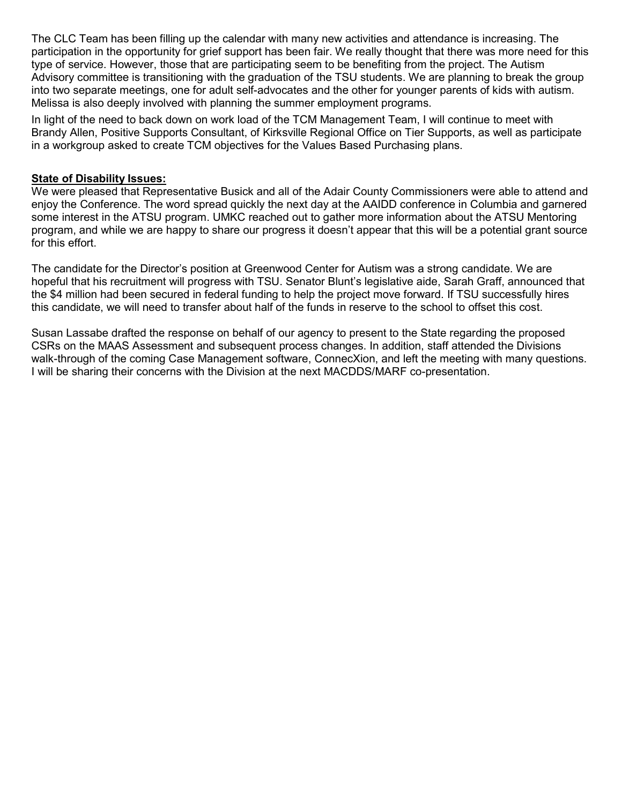The CLC Team has been filling up the calendar with many new activities and attendance is increasing. The participation in the opportunity for grief support has been fair. We really thought that there was more need for this type of service. However, those that are participating seem to be benefiting from the project. The Autism Advisory committee is transitioning with the graduation of the TSU students. We are planning to break the group into two separate meetings, one for adult self-advocates and the other for younger parents of kids with autism. Melissa is also deeply involved with planning the summer employment programs.

In light of the need to back down on work load of the TCM Management Team, I will continue to meet with Brandy Allen, Positive Supports Consultant, of Kirksville Regional Office on Tier Supports, as well as participate in a workgroup asked to create TCM objectives for the Values Based Purchasing plans.

#### State of Disability Issues:

We were pleased that Representative Busick and all of the Adair County Commissioners were able to attend and enjoy the Conference. The word spread quickly the next day at the AAIDD conference in Columbia and garnered some interest in the ATSU program. UMKC reached out to gather more information about the ATSU Mentoring program, and while we are happy to share our progress it doesn't appear that this will be a potential grant source for this effort.

The candidate for the Director's position at Greenwood Center for Autism was a strong candidate. We are hopeful that his recruitment will progress with TSU. Senator Blunt's legislative aide, Sarah Graff, announced that the \$4 million had been secured in federal funding to help the project move forward. If TSU successfully hires this candidate, we will need to transfer about half of the funds in reserve to the school to offset this cost.

Susan Lassabe drafted the response on behalf of our agency to present to the State regarding the proposed CSRs on the MAAS Assessment and subsequent process changes. In addition, staff attended the Divisions walk-through of the coming Case Management software, ConnecXion, and left the meeting with many questions. I will be sharing their concerns with the Division at the next MACDDS/MARF co-presentation.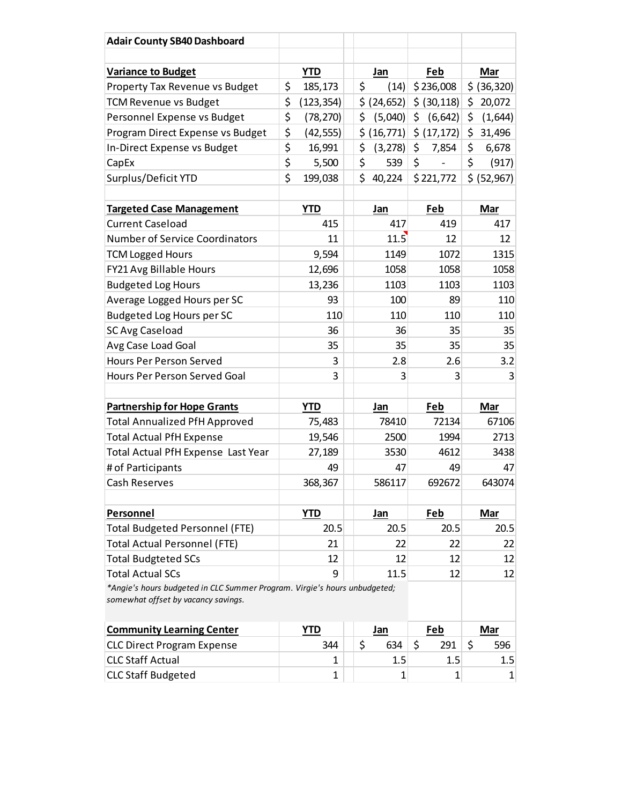| <b>Adair County SB40 Dashboard</b>                                                                               |                  |                       |                                                                                                                                                |              |
|------------------------------------------------------------------------------------------------------------------|------------------|-----------------------|------------------------------------------------------------------------------------------------------------------------------------------------|--------------|
| <b>Variance to Budget</b>                                                                                        | <b>YTD</b>       | Jan                   | Feb                                                                                                                                            | Mar          |
| Property Tax Revenue vs Budget                                                                                   | \$<br>185,173    | \$<br>(14)            | \$236,008                                                                                                                                      | \$ (36, 320) |
| <b>TCM Revenue vs Budget</b>                                                                                     | \$<br>(123, 354) |                       | $\left  \frac{1}{2} \right  \left  \frac{24}{652} \right  \left  \frac{1}{2} \right  \left  \frac{30}{118} \right  \left  \frac{1}{2} \right $ | 20,072       |
| Personnel Expense vs Budget                                                                                      | \$<br>(78, 270)  | $\frac{1}{2}$ (5,040) | \$<br>$(6,642)$ \$                                                                                                                             | (1,644)      |
| Program Direct Expense vs Budget                                                                                 | \$<br>(42, 555)  |                       | $\frac{1}{2}$ (16,771) $\frac{1}{2}$ (17,172) $\frac{1}{2}$                                                                                    | 31,496       |
| In-Direct Expense vs Budget                                                                                      | \$<br>16,991     | $\sin(3,278)$ \$      | 7,854                                                                                                                                          | \$<br>6,678  |
| CapEx                                                                                                            | \$<br>5,500      | \$<br>539             | \$<br>$\overline{\phantom{a}}$                                                                                                                 | \$<br>(917)  |
| Surplus/Deficit YTD                                                                                              | \$<br>199,038    | \$40,224              | \$221,772                                                                                                                                      | \$ (52,967)  |
|                                                                                                                  |                  |                       |                                                                                                                                                |              |
| <b>Targeted Case Management</b>                                                                                  | <b>YTD</b>       | Jan                   | Feb                                                                                                                                            | Mar          |
| <b>Current Caseload</b><br><b>Number of Service Coordinators</b>                                                 | 415<br>11        | 417<br>11.5           | 419<br>12                                                                                                                                      | 417<br>12    |
| <b>TCM Logged Hours</b>                                                                                          | 9,594            | 1149                  | 1072                                                                                                                                           | 1315         |
| FY21 Avg Billable Hours                                                                                          | 12,696           | 1058                  | 1058                                                                                                                                           | 1058         |
| <b>Budgeted Log Hours</b>                                                                                        | 13,236           | 1103                  | 1103                                                                                                                                           | 1103         |
| Average Logged Hours per SC                                                                                      | 93               | 100                   | 89                                                                                                                                             | 110          |
| Budgeted Log Hours per SC                                                                                        | 110              | 110                   | 110                                                                                                                                            | 110          |
| <b>SC Avg Caseload</b>                                                                                           | 36               | 36                    | 35                                                                                                                                             | 35           |
| Avg Case Load Goal                                                                                               | 35               | 35                    | 35                                                                                                                                             | 35           |
| Hours Per Person Served                                                                                          | 3                | 2.8                   | 2.6                                                                                                                                            | 3.2          |
| Hours Per Person Served Goal                                                                                     | 3                | $\overline{3}$        | 3                                                                                                                                              | 3            |
|                                                                                                                  |                  |                       |                                                                                                                                                |              |
| <b>Partnership for Hope Grants</b>                                                                               | <b>YTD</b>       | <u>Jan</u>            | <u>Feb</u>                                                                                                                                     | <b>Mar</b>   |
| <b>Total Annualized PfH Approved</b>                                                                             | 75,483           | 78410                 | 72134                                                                                                                                          | 67106        |
| <b>Total Actual PfH Expense</b>                                                                                  | 19,546           | 2500                  | 1994                                                                                                                                           | 2713         |
| Total Actual PfH Expense Last Year                                                                               | 27,189           | 3530                  | 4612                                                                                                                                           | 3438         |
| # of Participants<br>Cash Reserves                                                                               | 49               | 47                    | 49                                                                                                                                             | 47<br>643074 |
|                                                                                                                  | 368,367          | 586117                | 692672                                                                                                                                         |              |
| <b>Personnel</b>                                                                                                 | <b>YTD</b>       | <b>Jan</b>            | <b>Feb</b>                                                                                                                                     | <b>Mar</b>   |
| <b>Total Budgeted Personnel (FTE)</b>                                                                            | 20.5             | 20.5                  | 20.5                                                                                                                                           | 20.5         |
| <b>Total Actual Personnel (FTE)</b>                                                                              | 21               | 22                    | 22                                                                                                                                             | 22           |
| <b>Total Budgteted SCs</b>                                                                                       | 12               | 12                    | 12                                                                                                                                             | 12           |
| <b>Total Actual SCs</b>                                                                                          | 9                | 11.5                  | 12                                                                                                                                             | 12           |
| *Angie's hours budgeted in CLC Summer Program. Virgie's hours unbudgeted;<br>somewhat offset by vacancy savings. |                  |                       |                                                                                                                                                |              |
| <b>Community Learning Center</b>                                                                                 | <b>YTD</b>       | <u>Jan</u>            | <b>Feb</b>                                                                                                                                     | <b>Mar</b>   |
| <b>CLC Direct Program Expense</b>                                                                                | 344              | \$<br>634             | \$<br>291                                                                                                                                      | \$<br>596    |
| <b>CLC Staff Actual</b>                                                                                          | 1                | 1.5                   | 1.5                                                                                                                                            | 1.5          |
|                                                                                                                  | $\mathbf 1$      |                       |                                                                                                                                                |              |